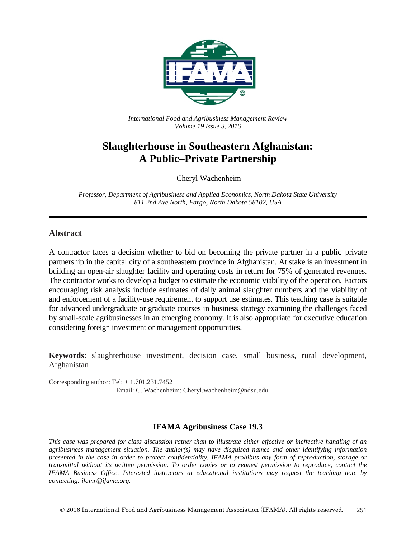

*International Food and Agribusiness Management Review Volume 19 Issue 3*, *2016*

# **Slaughterhouse in Southeastern Afghanistan: A Public–Private Partnership**

Cheryl Wachenheim

*Professor, Department of Agribusiness and Applied Economics, North Dakota State University 811 2nd Ave North, Fargo, North Dakota 58102, USA*

#### **Abstract**

A contractor faces a decision whether to bid on becoming the private partner in a public–private partnership in the capital city of a southeastern province in Afghanistan. At stake is an investment in building an open-air slaughter facility and operating costs in return for 75% of generated revenues. The contractor works to develop a budget to estimate the economic viability of the operation. Factors encouraging risk analysis include estimates of daily animal slaughter numbers and the viability of and enforcement of a facility-use requirement to support use estimates. This teaching case is suitable for advanced undergraduate or graduate courses in business strategy examining the challenges faced by small-scale agribusinesses in an emerging economy. It is also appropriate for executive education considering foreign investment or management opportunities.

**Keywords:** slaughterhouse investment, decision case, small business, rural development, Afghanistan

Corresponding author: Tel: + 1.701.231.7452 Email: C. Wachenheim: Cheryl.wachenheim@ndsu.edu

#### **IFAMA Agribusiness Case 19.3**

*This case was prepared for class discussion rather than to illustrate either effective or ineffective handling of an agribusiness management situation. The author(s) may have disguised names and other identifying information presented in the case in order to protect confidentiality. IFAMA prohibits any form of reproduction, storage or transmittal without its written permission. To order copies or to request permission to reproduce, contact the IFAMA Business Office. Interested instructors at educational institutions may request the teaching note by contacting: ifamr@ifama.org.*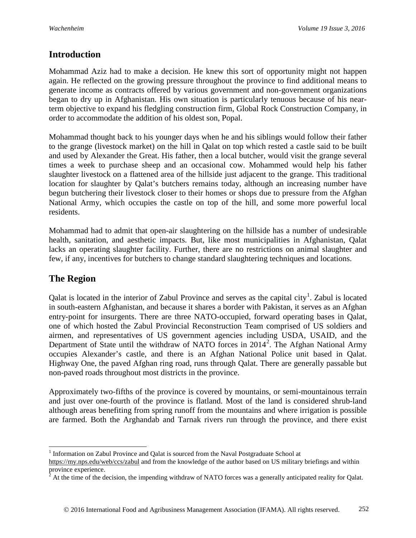### **Introduction**

Mohammad Aziz had to make a decision. He knew this sort of opportunity might not happen again. He reflected on the growing pressure throughout the province to find additional means to generate income as contracts offered by various government and non-government organizations began to dry up in Afghanistan. His own situation is particularly tenuous because of his nearterm objective to expand his fledgling construction firm, Global Rock Construction Company, in order to accommodate the addition of his oldest son, Popal.

Mohammad thought back to his younger days when he and his siblings would follow their father to the grange (livestock market) on the hill in Qalat on top which rested a castle said to be built and used by Alexander the Great. His father, then a local butcher, would visit the grange several times a week to purchase sheep and an occasional cow. Mohammed would help his father slaughter livestock on a flattened area of the hillside just adjacent to the grange. This traditional location for slaughter by Qalat's butchers remains today, although an increasing number have begun butchering their livestock closer to their homes or shops due to pressure from the Afghan National Army, which occupies the castle on top of the hill, and some more powerful local residents.

Mohammad had to admit that open-air slaughtering on the hillside has a number of undesirable health, sanitation, and aesthetic impacts. But, like most municipalities in Afghanistan, Qalat lacks an operating slaughter facility. Further, there are no restrictions on animal slaughter and few, if any, incentives for butchers to change standard slaughtering techniques and locations.

## **The Region**

Qalat is located in the interior of Zabul Province and serves as the capital city<sup>[1](#page-1-0)</sup>. Zabul is located in south-eastern Afghanistan, and because it shares a border with Pakistan, it serves as an Afghan entry-point for insurgents. There are three NATO-occupied, forward operating bases in Qalat, one of which hosted the Zabul Provincial Reconstruction Team comprised of US soldiers and airmen, and representatives of US government agencies including USDA, USAID, and the Department of State until the withdraw of NATO forces in [2](#page-1-1)014<sup>2</sup>. The Afghan National Army occupies Alexander's castle, and there is an Afghan National Police unit based in Qalat. Highway One, the paved Afghan ring road, runs through Qalat. There are generally passable but non-paved roads throughout most districts in the province.

Approximately two-fifths of the province is covered by mountains, or semi-mountainous terrain and just over one-fourth of the province is flatland. Most of the land is considered shrub-land although areas benefiting from spring runoff from the mountains and where irrigation is possible are farmed. Both the Arghandab and Tarnak rivers run through the province, and there exist

<span id="page-1-0"></span><sup>&</sup>lt;sup>1</sup> Information on Zabul Province and Qalat is sourced from the Naval Postgraduate School at

<https://my.nps.edu/web/ccs/zabul> and from the knowledge of the author based on US military briefings and within province experience.

<span id="page-1-1"></span> $2^2$  At the time of the decision, the impending withdraw of NATO forces was a generally anticipated reality for Qalat.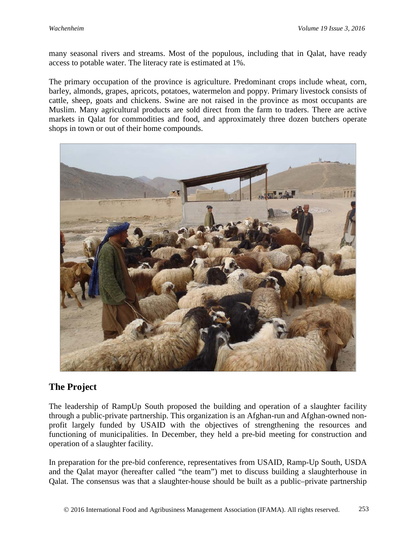many seasonal rivers and streams. Most of the populous, including that in Qalat, have ready access to potable water. The literacy rate is estimated at 1%.

The primary occupation of the province is agriculture. Predominant crops include wheat, corn, barley, almonds, grapes, apricots, potatoes, watermelon and poppy. Primary livestock consists of cattle, sheep, goats and chickens. Swine are not raised in the province as most occupants are Muslim. Many agricultural products are sold direct from the farm to traders. There are active markets in Qalat for commodities and food, and approximately three dozen butchers operate shops in town or out of their home compounds.



## **The Project**

The leadership of RampUp South proposed the building and operation of a slaughter facility through a public-private partnership. This organization is an Afghan-run and Afghan-owned nonprofit largely funded by USAID with the objectives of strengthening the resources and functioning of municipalities. In December, they held a pre-bid meeting for construction and operation of a slaughter facility.

In preparation for the pre-bid conference, representatives from USAID, Ramp-Up South, USDA and the Qalat mayor (hereafter called "the team") met to discuss building a slaughterhouse in Qalat. The consensus was that a slaughter-house should be built as a public–private partnership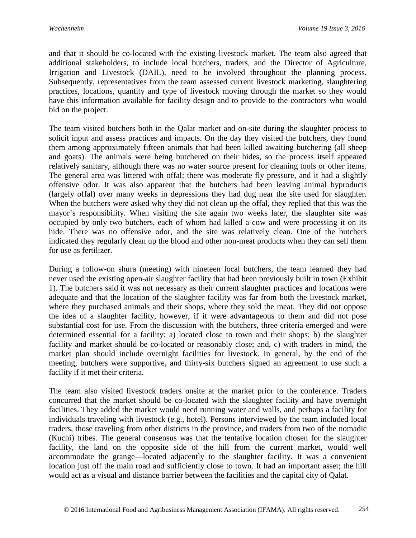and that it should be co-located with the existing livestock market. The team also agreed that additional stakeholders, to include local butchers, traders, and the Director of Agriculture, Irrigation and Livestock (DAIL), need to be involved throughout the planning process. Subsequently, representatives from the team assessed current livestock marketing, slaughtering practices, locations, quantity and type of livestock moving through the market so they would have this information available for facility design and to provide to the contractors who would bid on the project.

The team visited butchers both in the Qalat market and on-site during the slaughter process to solicit input and assess practices and impacts. On the day they visited the butchers, they found them among approximately fifteen animals that had been killed awaiting butchering (all sheep and goats). The animals were being butchered on their hides, so the process itself appeared relatively sanitary, although there was no water source present for cleaning tools or other items. The general area was littered with offal; there was moderate fly pressure, and it had a slightly offensive odor. It was also apparent that the butchers had been leaving animal byproducts (largely offal) over many weeks in depressions they had dug near the site used for slaughter. When the butchers were asked why they did not clean up the offal, they replied that this was the mayor's responsibility. When visiting the site again two weeks later, the slaughter site was occupied by only two butchers, each of whom had killed a cow and were processing it on its hide. There was no offensive odor, and the site was relatively clean. One of the butchers indicated they regularly clean up the blood and other non-meat products when they can sell them for use as fertilizer.

During a follow-on shura (meeting) with nineteen local butchers, the team learned they had never used the existing open-air slaughter facility that had been previously built in town (Exhibit 1). The butchers said it was not necessary as their current slaughter practices and locations were adequate and that the location of the slaughter facility was far from both the livestock market, where they purchased animals and their shops, where they sold the meat. They did not oppose the idea of a slaughter facility, however, if it were advantageous to them and did not pose substantial cost for use. From the discussion with the butchers, three criteria emerged and were determined essential for a facility: a) located close to town and their shops; b) the slaughter facility and market should be co-located or reasonably close; and, c) with traders in mind, the market plan should include overnight facilities for livestock. In general, by the end of the meeting, butchers were supportive, and thirty-six butchers signed an agreement to use such a facility if it met their criteria.

The team also visited livestock traders onsite at the market prior to the conference. Traders concurred that the market should be co-located with the slaughter facility and have overnight facilities. They added the market would need running water and walls, and perhaps a facility for individuals traveling with livestock (e.g., hotel). Persons interviewed by the team included local traders, those traveling from other districts in the province, and traders from two of the nomadic (Kuchi) tribes. The general consensus was that the tentative location chosen for the slaughter facility, the land on the opposite side of the hill from the current market, would well accommodate the grange—located adjacently to the slaughter facility. It was a convenient location just off the main road and sufficiently close to town. It had an important asset; the hill would act as a visual and distance barrier between the facilities and the capital city of Qalat.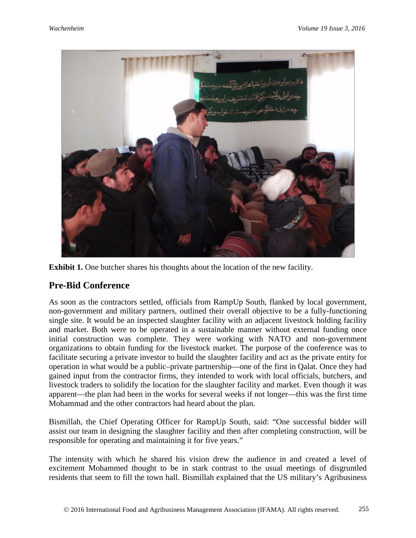

**Exhibit 1.** One butcher shares his thoughts about the location of the new facility.

## **Pre-Bid Conference**

As soon as the contractors settled, officials from RampUp South, flanked by local government, non-government and military partners, outlined their overall objective to be a fully-functioning single site. It would be an inspected slaughter facility with an adjacent livestock holding facility and market. Both were to be operated in a sustainable manner without external funding once initial construction was complete. They were working with NATO and non-government organizations to obtain funding for the livestock market. The purpose of the conference was to facilitate securing a private investor to build the slaughter facility and act as the private entity for operation in what would be a public–private partnership—one of the first in Qalat. Once they had gained input from the contractor firms, they intended to work with local officials, butchers, and livestock traders to solidify the location for the slaughter facility and market. Even though it was apparent—the plan had been in the works for several weeks if not longer—this was the first time Mohammad and the other contractors had heard about the plan.

Bismillah, the Chief Operating Officer for RampUp South, said: "One successful bidder will assist our team in designing the slaughter facility and then after completing construction, will be responsible for operating and maintaining it for five years."

The intensity with which he shared his vision drew the audience in and created a level of excitement Mohammed thought to be in stark contrast to the usual meetings of disgruntled residents that seem to fill the town hall. Bismillah explained that the US military's Agribusiness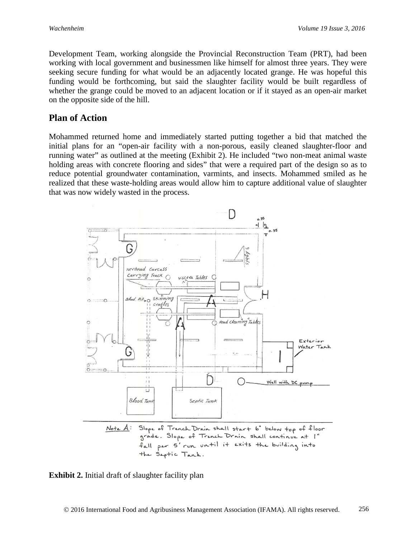Development Team, working alongside the Provincial Reconstruction Team (PRT), had been working with local government and businessmen like himself for almost three years. They were seeking secure funding for what would be an adjacently located grange. He was hopeful this funding would be forthcoming, but said the slaughter facility would be built regardless of whether the grange could be moved to an adjacent location or if it stayed as an open-air market on the opposite side of the hill.

#### **Plan of Action**

Mohammed returned home and immediately started putting together a bid that matched the initial plans for an "open-air facility with a non-porous, easily cleaned slaughter-floor and running water" as outlined at the meeting (Exhibit 2). He included "two non-meat animal waste holding areas with concrete flooring and sides" that were a required part of the design so as to reduce potential groundwater contamination, varmints, and insects. Mohammed smiled as he realized that these waste-holding areas would allow him to capture additional value of slaughter that was now widely wasted in the process.



**Exhibit 2.** Initial draft of slaughter facility plan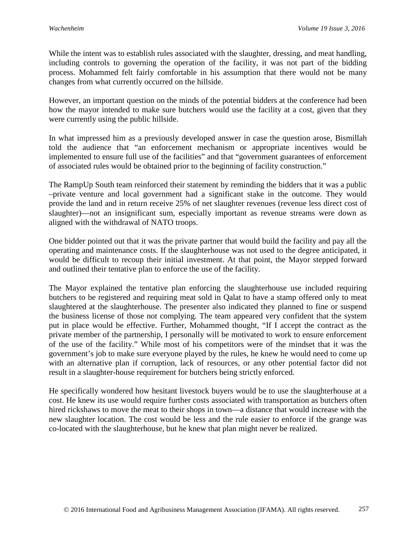While the intent was to establish rules associated with the slaughter, dressing, and meat handling, including controls to governing the operation of the facility, it was not part of the bidding process. Mohammed felt fairly comfortable in his assumption that there would not be many changes from what currently occurred on the hillside.

However, an important question on the minds of the potential bidders at the conference had been how the mayor intended to make sure butchers would use the facility at a cost, given that they were currently using the public hillside.

In what impressed him as a previously developed answer in case the question arose, Bismillah told the audience that "an enforcement mechanism or appropriate incentives would be implemented to ensure full use of the facilities" and that "government guarantees of enforcement of associated rules would be obtained prior to the beginning of facility construction."

The RampUp South team reinforced their statement by reminding the bidders that it was a public –private venture and local government had a significant stake in the outcome. They would provide the land and in return receive 25% of net slaughter revenues (revenue less direct cost of slaughter)—not an insignificant sum, especially important as revenue streams were down as aligned with the withdrawal of NATO troops.

One bidder pointed out that it was the private partner that would build the facility and pay all the operating and maintenance costs. If the slaughterhouse was not used to the degree anticipated, it would be difficult to recoup their initial investment. At that point, the Mayor stepped forward and outlined their tentative plan to enforce the use of the facility.

The Mayor explained the tentative plan enforcing the slaughterhouse use included requiring butchers to be registered and requiring meat sold in Qalat to have a stamp offered only to meat slaughtered at the slaughterhouse. The presenter also indicated they planned to fine or suspend the business license of those not complying. The team appeared very confident that the system put in place would be effective. Further, Mohammed thought, "If I accept the contract as the private member of the partnership, I personally will be motivated to work to ensure enforcement of the use of the facility." While most of his competitors were of the mindset that it was the government's job to make sure everyone played by the rules, he knew he would need to come up with an alternative plan if corruption, lack of resources, or any other potential factor did not result in a slaughter-house requirement for butchers being strictly enforced.

He specifically wondered how hesitant livestock buyers would be to use the slaughterhouse at a cost. He knew its use would require further costs associated with transportation as butchers often hired rickshaws to move the meat to their shops in town—a distance that would increase with the new slaughter location. The cost would be less and the rule easier to enforce if the grange was co-located with the slaughterhouse, but he knew that plan might never be realized.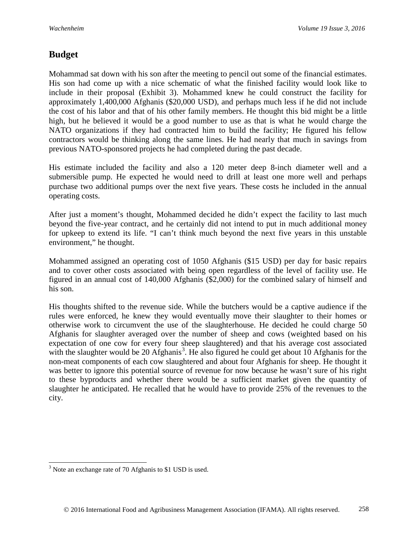## **Budget**

Mohammad sat down with his son after the meeting to pencil out some of the financial estimates. His son had come up with a nice schematic of what the finished facility would look like to include in their proposal (Exhibit 3). Mohammed knew he could construct the facility for approximately 1,400,000 Afghanis (\$20,000 USD), and perhaps much less if he did not include the cost of his labor and that of his other family members. He thought this bid might be a little high, but he believed it would be a good number to use as that is what he would charge the NATO organizations if they had contracted him to build the facility; He figured his fellow contractors would be thinking along the same lines. He had nearly that much in savings from previous NATO-sponsored projects he had completed during the past decade.

His estimate included the facility and also a 120 meter deep 8-inch diameter well and a submersible pump. He expected he would need to drill at least one more well and perhaps purchase two additional pumps over the next five years. These costs he included in the annual operating costs.

After just a moment's thought, Mohammed decided he didn't expect the facility to last much beyond the five-year contract, and he certainly did not intend to put in much additional money for upkeep to extend its life. "I can't think much beyond the next five years in this unstable environment," he thought.

Mohammed assigned an operating cost of 1050 Afghanis (\$15 USD) per day for basic repairs and to cover other costs associated with being open regardless of the level of facility use. He figured in an annual cost of 140,000 Afghanis (\$2,000) for the combined salary of himself and his son.

His thoughts shifted to the revenue side. While the butchers would be a captive audience if the rules were enforced, he knew they would eventually move their slaughter to their homes or otherwise work to circumvent the use of the slaughterhouse. He decided he could charge 50 Afghanis for slaughter averaged over the number of sheep and cows (weighted based on his expectation of one cow for every four sheep slaughtered) and that his average cost associated with the slaughter would be 20 Afghanis<sup>[3](#page-7-0)</sup>. He also figured he could get about 10 Afghanis for the non-meat components of each cow slaughtered and about four Afghanis for sheep. He thought it was better to ignore this potential source of revenue for now because he wasn't sure of his right to these byproducts and whether there would be a sufficient market given the quantity of slaughter he anticipated. He recalled that he would have to provide 25% of the revenues to the city.

<span id="page-7-0"></span><sup>&</sup>lt;sup>3</sup> Note an exchange rate of 70 Afghanis to \$1 USD is used.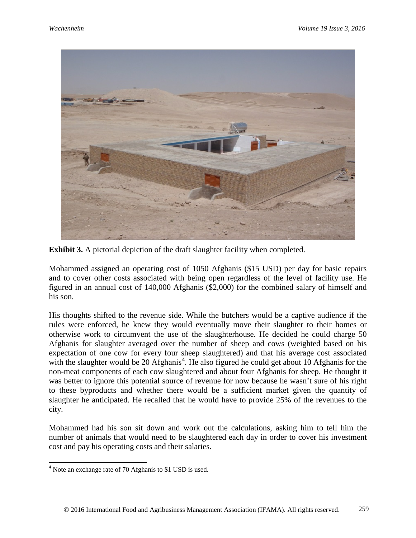

**Exhibit 3.** A pictorial depiction of the draft slaughter facility when completed.

Mohammed assigned an operating cost of 1050 Afghanis (\$15 USD) per day for basic repairs and to cover other costs associated with being open regardless of the level of facility use. He figured in an annual cost of 140,000 Afghanis (\$2,000) for the combined salary of himself and his son.

His thoughts shifted to the revenue side. While the butchers would be a captive audience if the rules were enforced, he knew they would eventually move their slaughter to their homes or otherwise work to circumvent the use of the slaughterhouse. He decided he could charge 50 Afghanis for slaughter averaged over the number of sheep and cows (weighted based on his expectation of one cow for every four sheep slaughtered) and that his average cost associated with the slaughter would be 20 Afghanis<sup>[4](#page-8-0)</sup>. He also figured he could get about 10 Afghanis for the non-meat components of each cow slaughtered and about four Afghanis for sheep. He thought it was better to ignore this potential source of revenue for now because he wasn't sure of his right to these byproducts and whether there would be a sufficient market given the quantity of slaughter he anticipated. He recalled that he would have to provide 25% of the revenues to the city.

Mohammed had his son sit down and work out the calculations, asking him to tell him the number of animals that would need to be slaughtered each day in order to cover his investment cost and pay his operating costs and their salaries.

<span id="page-8-0"></span> <sup>4</sup> Note an exchange rate of 70 Afghanis to \$1 USD is used.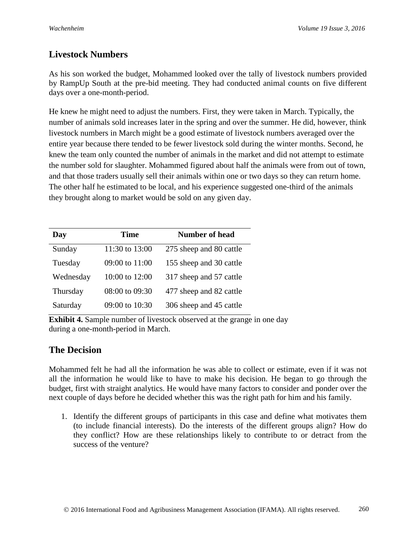## **Livestock Numbers**

As his son worked the budget, Mohammed looked over the tally of livestock numbers provided by RampUp South at the pre-bid meeting. They had conducted animal counts on five different days over a one-month-period.

He knew he might need to adjust the numbers. First, they were taken in March. Typically, the number of animals sold increases later in the spring and over the summer. He did, however, think livestock numbers in March might be a good estimate of livestock numbers averaged over the entire year because there tended to be fewer livestock sold during the winter months. Second, he knew the team only counted the number of animals in the market and did not attempt to estimate the number sold for slaughter. Mohammed figured about half the animals were from out of town, and that those traders usually sell their animals within one or two days so they can return home. The other half he estimated to be local, and his experience suggested one-third of the animals they brought along to market would be sold on any given day.

| Day       | <b>Time</b>    | <b>Number of head</b>   |
|-----------|----------------|-------------------------|
| Sunday    | 11:30 to 13:00 | 275 sheep and 80 cattle |
| Tuesday   | 09:00 to 11:00 | 155 sheep and 30 cattle |
| Wednesday | 10:00 to 12:00 | 317 sheep and 57 cattle |
| Thursday  | 08:00 to 09:30 | 477 sheep and 82 cattle |
| Saturday  | 09:00 to 10:30 | 306 sheep and 45 cattle |

**Exhibit 4.** Sample number of livestock observed at the grange in one day during a one-month-period in March.

## **The Decision**

Mohammed felt he had all the information he was able to collect or estimate, even if it was not all the information he would like to have to make his decision. He began to go through the budget, first with straight analytics. He would have many factors to consider and ponder over the next couple of days before he decided whether this was the right path for him and his family.

1. Identify the different groups of participants in this case and define what motivates them (to include financial interests). Do the interests of the different groups align? How do they conflict? How are these relationships likely to contribute to or detract from the success of the venture?